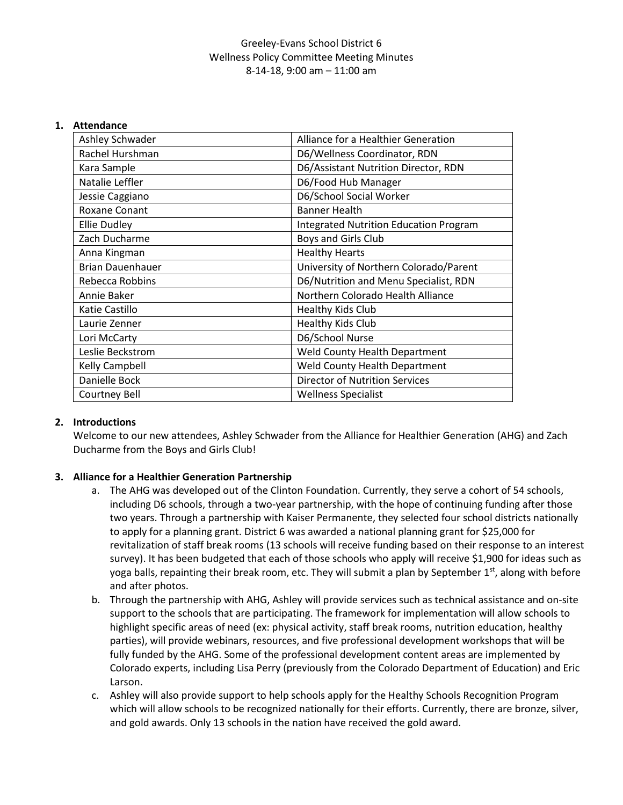### Greeley-Evans School District 6 Wellness Policy Committee Meeting Minutes 8-14-18, 9:00 am – 11:00 am

#### **1. Attendance**

| Ashley Schwader         | Alliance for a Healthier Generation           |
|-------------------------|-----------------------------------------------|
| Rachel Hurshman         | D6/Wellness Coordinator, RDN                  |
| Kara Sample             | D6/Assistant Nutrition Director, RDN          |
| Natalie Leffler         | D6/Food Hub Manager                           |
| Jessie Caggiano         | D6/School Social Worker                       |
| <b>Roxane Conant</b>    | <b>Banner Health</b>                          |
| Ellie Dudley            | <b>Integrated Nutrition Education Program</b> |
| Zach Ducharme           | Boys and Girls Club                           |
| Anna Kingman            | <b>Healthy Hearts</b>                         |
| <b>Brian Dauenhauer</b> | University of Northern Colorado/Parent        |
| Rebecca Robbins         | D6/Nutrition and Menu Specialist, RDN         |
| Annie Baker             | Northern Colorado Health Alliance             |
| Katie Castillo          | Healthy Kids Club                             |
| Laurie Zenner           | <b>Healthy Kids Club</b>                      |
| Lori McCarty            | D6/School Nurse                               |
| Leslie Beckstrom        | Weld County Health Department                 |
| Kelly Campbell          | Weld County Health Department                 |
| Danielle Bock           | <b>Director of Nutrition Services</b>         |
| Courtney Bell           | <b>Wellness Specialist</b>                    |

#### **2. Introductions**

Welcome to our new attendees, Ashley Schwader from the Alliance for Healthier Generation (AHG) and Zach Ducharme from the Boys and Girls Club!

#### **3. Alliance for a Healthier Generation Partnership**

- a. The AHG was developed out of the Clinton Foundation. Currently, they serve a cohort of 54 schools, including D6 schools, through a two-year partnership, with the hope of continuing funding after those two years. Through a partnership with Kaiser Permanente, they selected four school districts nationally to apply for a planning grant. District 6 was awarded a national planning grant for \$25,000 for revitalization of staff break rooms (13 schools will receive funding based on their response to an interest survey). It has been budgeted that each of those schools who apply will receive \$1,900 for ideas such as yoga balls, repainting their break room, etc. They will submit a plan by September 1<sup>st</sup>, along with before and after photos.
- b. Through the partnership with AHG, Ashley will provide services such as technical assistance and on-site support to the schools that are participating. The framework for implementation will allow schools to highlight specific areas of need (ex: physical activity, staff break rooms, nutrition education, healthy parties), will provide webinars, resources, and five professional development workshops that will be fully funded by the AHG. Some of the professional development content areas are implemented by Colorado experts, including Lisa Perry (previously from the Colorado Department of Education) and Eric Larson.
- c. Ashley will also provide support to help schools apply for the Healthy Schools Recognition Program which will allow schools to be recognized nationally for their efforts. Currently, there are bronze, silver, and gold awards. Only 13 schools in the nation have received the gold award.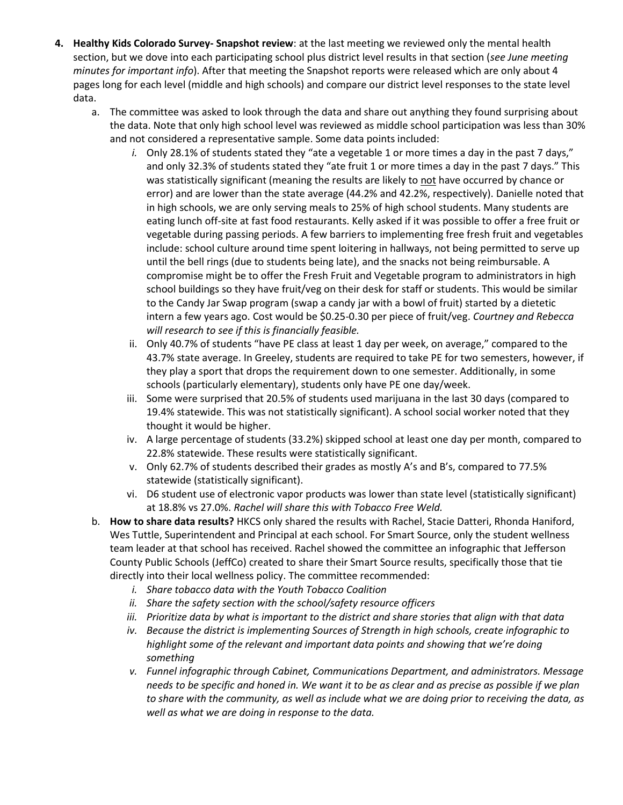- **4. Healthy Kids Colorado Survey- Snapshot review**: at the last meeting we reviewed only the mental health section, but we dove into each participating school plus district level results in that section (*see June meeting minutes for important info*). After that meeting the Snapshot reports were released which are only about 4 pages long for each level (middle and high schools) and compare our district level responses to the state level data.
	- a. The committee was asked to look through the data and share out anything they found surprising about the data. Note that only high school level was reviewed as middle school participation was less than 30% and not considered a representative sample. Some data points included:
		- *i.* Only 28.1% of students stated they "ate a vegetable 1 or more times a day in the past 7 days," and only 32.3% of students stated they "ate fruit 1 or more times a day in the past 7 days." This was statistically significant (meaning the results are likely to not have occurred by chance or error) and are lower than the state average (44.2% and 42.2%, respectively). Danielle noted that in high schools, we are only serving meals to 25% of high school students. Many students are eating lunch off-site at fast food restaurants. Kelly asked if it was possible to offer a free fruit or vegetable during passing periods. A few barriers to implementing free fresh fruit and vegetables include: school culture around time spent loitering in hallways, not being permitted to serve up until the bell rings (due to students being late), and the snacks not being reimbursable. A compromise might be to offer the Fresh Fruit and Vegetable program to administrators in high school buildings so they have fruit/veg on their desk for staff or students. This would be similar to the Candy Jar Swap program (swap a candy jar with a bowl of fruit) started by a dietetic intern a few years ago. Cost would be \$0.25-0.30 per piece of fruit/veg. *Courtney and Rebecca will research to see if this is financially feasible.*
		- ii. Only 40.7% of students "have PE class at least 1 day per week, on average," compared to the 43.7% state average. In Greeley, students are required to take PE for two semesters, however, if they play a sport that drops the requirement down to one semester. Additionally, in some schools (particularly elementary), students only have PE one day/week.
		- iii. Some were surprised that 20.5% of students used marijuana in the last 30 days (compared to 19.4% statewide. This was not statistically significant). A school social worker noted that they thought it would be higher.
		- iv. A large percentage of students (33.2%) skipped school at least one day per month, compared to 22.8% statewide. These results were statistically significant.
		- v. Only 62.7% of students described their grades as mostly A's and B's, compared to 77.5% statewide (statistically significant).
		- vi. D6 student use of electronic vapor products was lower than state level (statistically significant) at 18.8% vs 27.0%. *Rachel will share this with Tobacco Free Weld.*
	- b. **How to share data results?** HKCS only shared the results with Rachel, Stacie Datteri, Rhonda Haniford, Wes Tuttle, Superintendent and Principal at each school. For Smart Source, only the student wellness team leader at that school has received. Rachel showed the committee an infographic that Jefferson County Public Schools (JeffCo) created to share their Smart Source results, specifically those that tie directly into their local wellness policy. The committee recommended:
		- *i. Share tobacco data with the Youth Tobacco Coalition*
		- *ii. Share the safety section with the school/safety resource officers*
		- *iii. Prioritize data by what is important to the district and share stories that align with that data*
		- *iv. Because the district is implementing Sources of Strength in high schools, create infographic to highlight some of the relevant and important data points and showing that we're doing something*
		- *v. Funnel infographic through Cabinet, Communications Department, and administrators. Message needs to be specific and honed in. We want it to be as clear and as precise as possible if we plan to share with the community, as well as include what we are doing prior to receiving the data, as well as what we are doing in response to the data.*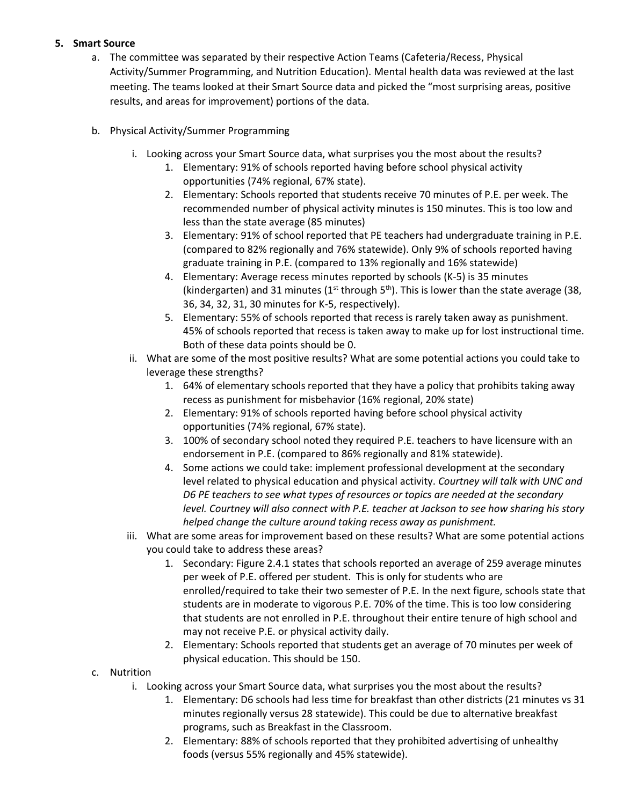### **5. Smart Source**

- a. The committee was separated by their respective Action Teams (Cafeteria/Recess, Physical Activity/Summer Programming, and Nutrition Education). Mental health data was reviewed at the last meeting. The teams looked at their Smart Source data and picked the "most surprising areas, positive results, and areas for improvement) portions of the data.
- b. Physical Activity/Summer Programming
	- i. Looking across your Smart Source data, what surprises you the most about the results?
		- 1. Elementary: 91% of schools reported having before school physical activity opportunities (74% regional, 67% state).
		- 2. Elementary: Schools reported that students receive 70 minutes of P.E. per week. The recommended number of physical activity minutes is 150 minutes. This is too low and less than the state average (85 minutes)
		- 3. Elementary: 91% of school reported that PE teachers had undergraduate training in P.E. (compared to 82% regionally and 76% statewide). Only 9% of schools reported having graduate training in P.E. (compared to 13% regionally and 16% statewide)
		- 4. Elementary: Average recess minutes reported by schools (K-5) is 35 minutes (kindergarten) and 31 minutes ( $1^{st}$  through  $5^{th}$ ). This is lower than the state average (38, 36, 34, 32, 31, 30 minutes for K-5, respectively).
		- 5. Elementary: 55% of schools reported that recess is rarely taken away as punishment. 45% of schools reported that recess is taken away to make up for lost instructional time. Both of these data points should be 0.
	- ii. What are some of the most positive results? What are some potential actions you could take to leverage these strengths?
		- 1. 64% of elementary schools reported that they have a policy that prohibits taking away recess as punishment for misbehavior (16% regional, 20% state)
		- 2. Elementary: 91% of schools reported having before school physical activity opportunities (74% regional, 67% state).
		- 3. 100% of secondary school noted they required P.E. teachers to have licensure with an endorsement in P.E. (compared to 86% regionally and 81% statewide).
		- 4. Some actions we could take: implement professional development at the secondary level related to physical education and physical activity. *Courtney will talk with UNC and D6 PE teachers to see what types of resources or topics are needed at the secondary level. Courtney will also connect with P.E. teacher at Jackson to see how sharing his story helped change the culture around taking recess away as punishment.*
	- iii. What are some areas for improvement based on these results? What are some potential actions you could take to address these areas?
		- 1. Secondary: Figure 2.4.1 states that schools reported an average of 259 average minutes per week of P.E. offered per student. This is only for students who are enrolled/required to take their two semester of P.E. In the next figure, schools state that students are in moderate to vigorous P.E. 70% of the time. This is too low considering that students are not enrolled in P.E. throughout their entire tenure of high school and may not receive P.E. or physical activity daily.
		- 2. Elementary: Schools reported that students get an average of 70 minutes per week of physical education. This should be 150.
- c. Nutrition
	- i. Looking across your Smart Source data, what surprises you the most about the results?
		- 1. Elementary: D6 schools had less time for breakfast than other districts (21 minutes vs 31 minutes regionally versus 28 statewide). This could be due to alternative breakfast programs, such as Breakfast in the Classroom.
		- 2. Elementary: 88% of schools reported that they prohibited advertising of unhealthy foods (versus 55% regionally and 45% statewide).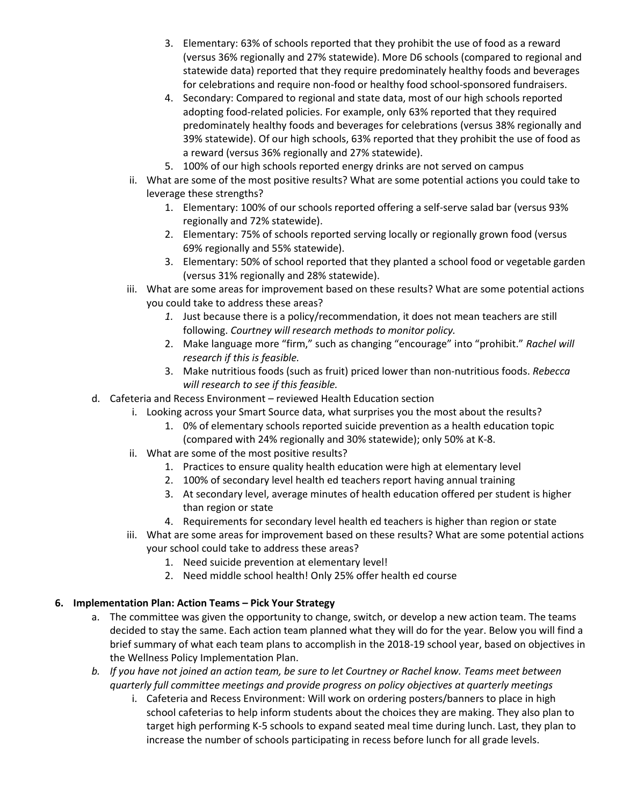- 3. Elementary: 63% of schools reported that they prohibit the use of food as a reward (versus 36% regionally and 27% statewide). More D6 schools (compared to regional and statewide data) reported that they require predominately healthy foods and beverages for celebrations and require non-food or healthy food school-sponsored fundraisers.
- 4. Secondary: Compared to regional and state data, most of our high schools reported adopting food-related policies. For example, only 63% reported that they required predominately healthy foods and beverages for celebrations (versus 38% regionally and 39% statewide). Of our high schools, 63% reported that they prohibit the use of food as a reward (versus 36% regionally and 27% statewide).
- 5. 100% of our high schools reported energy drinks are not served on campus
- ii. What are some of the most positive results? What are some potential actions you could take to leverage these strengths?
	- 1. Elementary: 100% of our schools reported offering a self-serve salad bar (versus 93% regionally and 72% statewide).
	- 2. Elementary: 75% of schools reported serving locally or regionally grown food (versus 69% regionally and 55% statewide).
	- 3. Elementary: 50% of school reported that they planted a school food or vegetable garden (versus 31% regionally and 28% statewide).
- iii. What are some areas for improvement based on these results? What are some potential actions you could take to address these areas?
	- *1.* Just because there is a policy/recommendation, it does not mean teachers are still following. *Courtney will research methods to monitor policy.*
	- 2. Make language more "firm," such as changing "encourage" into "prohibit." *Rachel will research if this is feasible.*
	- 3. Make nutritious foods (such as fruit) priced lower than non-nutritious foods. *Rebecca will research to see if this feasible.*
- d. Cafeteria and Recess Environment reviewed Health Education section
	- i. Looking across your Smart Source data, what surprises you the most about the results?
		- 1. 0% of elementary schools reported suicide prevention as a health education topic (compared with 24% regionally and 30% statewide); only 50% at K-8.
	- ii. What are some of the most positive results?
		- 1. Practices to ensure quality health education were high at elementary level
		- 2. 100% of secondary level health ed teachers report having annual training
		- 3. At secondary level, average minutes of health education offered per student is higher than region or state
		- 4. Requirements for secondary level health ed teachers is higher than region or state
	- iii. What are some areas for improvement based on these results? What are some potential actions your school could take to address these areas?
		- 1. Need suicide prevention at elementary level!
		- 2. Need middle school health! Only 25% offer health ed course

#### **6. Implementation Plan: Action Teams – Pick Your Strategy**

- a. The committee was given the opportunity to change, switch, or develop a new action team. The teams decided to stay the same. Each action team planned what they will do for the year. Below you will find a brief summary of what each team plans to accomplish in the 2018-19 school year, based on objectives in the Wellness Policy Implementation Plan.
- *b. If you have not joined an action team, be sure to let Courtney or Rachel know. Teams meet between quarterly full committee meetings and provide progress on policy objectives at quarterly meetings*
	- i. Cafeteria and Recess Environment: Will work on ordering posters/banners to place in high school cafeterias to help inform students about the choices they are making. They also plan to target high performing K-5 schools to expand seated meal time during lunch. Last, they plan to increase the number of schools participating in recess before lunch for all grade levels.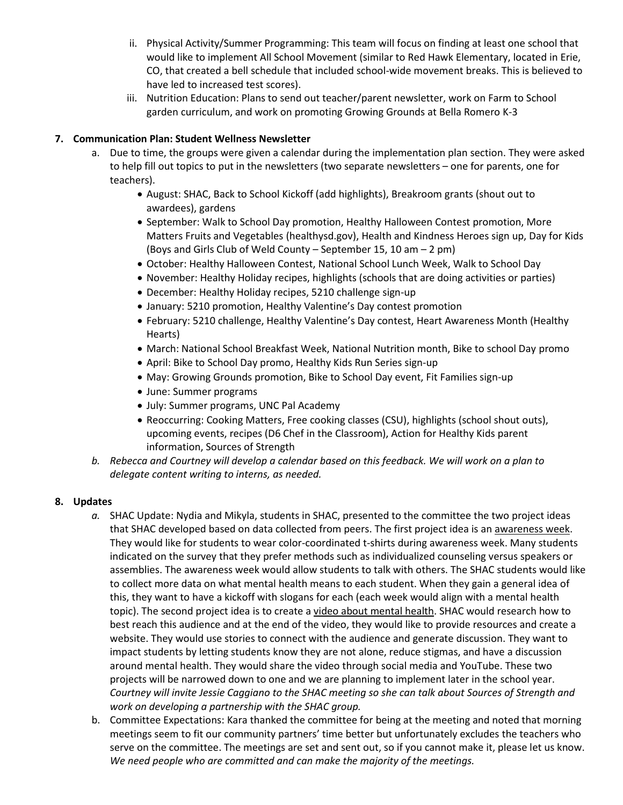- ii. Physical Activity/Summer Programming: This team will focus on finding at least one school that would like to implement All School Movement (similar to Red Hawk Elementary, located in Erie, CO, that created a bell schedule that included school-wide movement breaks. This is believed to have led to increased test scores).
- iii. Nutrition Education: Plans to send out teacher/parent newsletter, work on Farm to School garden curriculum, and work on promoting Growing Grounds at Bella Romero K-3

# **7. Communication Plan: Student Wellness Newsletter**

- a. Due to time, the groups were given a calendar during the implementation plan section. They were asked to help fill out topics to put in the newsletters (two separate newsletters – one for parents, one for teachers).
	- August: SHAC, Back to School Kickoff (add highlights), Breakroom grants (shout out to awardees), gardens
	- September: Walk to School Day promotion, Healthy Halloween Contest promotion, More Matters Fruits and Vegetables (healthysd.gov), Health and Kindness Heroes sign up, Day for Kids (Boys and Girls Club of Weld County – September 15, 10 am – 2 pm)
	- October: Healthy Halloween Contest, National School Lunch Week, Walk to School Day
	- November: Healthy Holiday recipes, highlights (schools that are doing activities or parties)
	- December: Healthy Holiday recipes, 5210 challenge sign-up
	- January: 5210 promotion, Healthy Valentine's Day contest promotion
	- February: 5210 challenge, Healthy Valentine's Day contest, Heart Awareness Month (Healthy Hearts)
	- March: National School Breakfast Week, National Nutrition month, Bike to school Day promo
	- April: Bike to School Day promo, Healthy Kids Run Series sign-up
	- May: Growing Grounds promotion, Bike to School Day event, Fit Families sign-up
	- June: Summer programs
	- July: Summer programs, UNC Pal Academy
	- Reoccurring: Cooking Matters, Free cooking classes (CSU), highlights (school shout outs), upcoming events, recipes (D6 Chef in the Classroom), Action for Healthy Kids parent information, Sources of Strength
- *b. Rebecca and Courtney will develop a calendar based on this feedback. We will work on a plan to delegate content writing to interns, as needed.*

## **8. Updates**

- *a.* SHAC Update: Nydia and Mikyla, students in SHAC, presented to the committee the two project ideas that SHAC developed based on data collected from peers. The first project idea is an awareness week. They would like for students to wear color-coordinated t-shirts during awareness week. Many students indicated on the survey that they prefer methods such as individualized counseling versus speakers or assemblies. The awareness week would allow students to talk with others. The SHAC students would like to collect more data on what mental health means to each student. When they gain a general idea of this, they want to have a kickoff with slogans for each (each week would align with a mental health topic). The second project idea is to create a video about mental health. SHAC would research how to best reach this audience and at the end of the video, they would like to provide resources and create a website. They would use stories to connect with the audience and generate discussion. They want to impact students by letting students know they are not alone, reduce stigmas, and have a discussion around mental health. They would share the video through social media and YouTube. These two projects will be narrowed down to one and we are planning to implement later in the school year. *Courtney will invite Jessie Caggiano to the SHAC meeting so she can talk about Sources of Strength and work on developing a partnership with the SHAC group.*
- b. Committee Expectations: Kara thanked the committee for being at the meeting and noted that morning meetings seem to fit our community partners' time better but unfortunately excludes the teachers who serve on the committee. The meetings are set and sent out, so if you cannot make it, please let us know. *We need people who are committed and can make the majority of the meetings.*